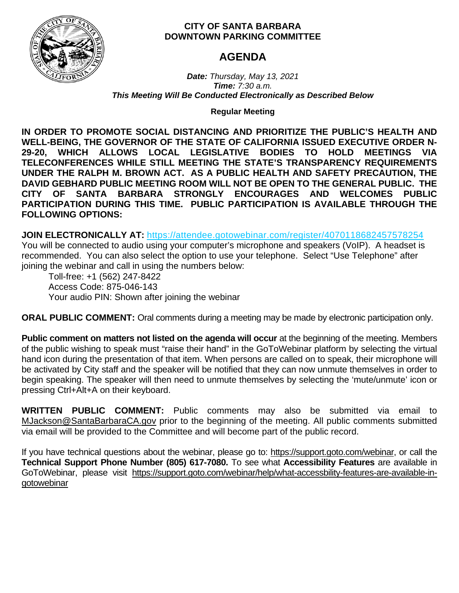

## **CITY OF SANTA BARBARA DOWNTOWN PARKING COMMITTEE**

# **AGENDA**

*Date: Thursday, May 13, 2021 Time: 7:30 a.m. This Meeting Will Be Conducted Electronically as Described Below*

**Regular Meeting**

**IN ORDER TO PROMOTE SOCIAL DISTANCING AND PRIORITIZE THE PUBLIC'S HEALTH AND WELL-BEING, THE GOVERNOR OF THE STATE OF CALIFORNIA ISSUED EXECUTIVE ORDER N-29-20, WHICH ALLOWS LOCAL LEGISLATIVE BODIES TO HOLD MEETINGS VIA TELECONFERENCES WHILE STILL MEETING THE STATE'S TRANSPARENCY REQUIREMENTS UNDER THE RALPH M. BROWN ACT. AS A PUBLIC HEALTH AND SAFETY PRECAUTION, THE DAVID GEBHARD PUBLIC MEETING ROOM WILL NOT BE OPEN TO THE GENERAL PUBLIC. THE CITY OF SANTA BARBARA STRONGLY ENCOURAGES AND WELCOMES PUBLIC PARTICIPATION DURING THIS TIME. PUBLIC PARTICIPATION IS AVAILABLE THROUGH THE FOLLOWING OPTIONS:**

**JOIN ELECTRONICALLY AT:** <https://attendee.gotowebinar.com/register/4070118682457578254>

You will be connected to audio using your computer's microphone and speakers (VoIP). A headset is recommended. You can also select the option to use your telephone. Select "Use Telephone" after joining the webinar and call in using the numbers below:

Toll-free: +1 (562) 247-8422 Access Code: 875-046-143 Your audio PIN: Shown after joining the webinar

**ORAL PUBLIC COMMENT:** Oral comments during a meeting may be made by electronic participation only.

**Public comment on matters not listed on the agenda will occur** at the beginning of the meeting. Members of the public wishing to speak must "raise their hand" in the GoToWebinar platform by selecting the virtual hand icon during the presentation of that item. When persons are called on to speak, their microphone will be activated by City staff and the speaker will be notified that they can now unmute themselves in order to begin speaking. The speaker will then need to unmute themselves by selecting the 'mute/unmute' icon or pressing Ctrl+Alt+A on their keyboard.

**WRITTEN PUBLIC COMMENT:** Public comments may also be submitted via email to [MJackson@SantaBarbaraCA.gov](mailto:MJackson@SantaBarbaraCA.gov) prior to the beginning of the meeting. All public comments submitted via email will be provided to the Committee and will become part of the public record.

If you have technical questions about the webinar, please go to: [https://support.goto.com/webinar,](https://support.goto.com/webinar) or call the **Technical Support Phone Number (805) 617-7080.** To see what **Accessibility Features** are available in GoToWebinar, please visit [https://support.goto.com/webinar/help/what-accessbility-features-are-available-in](https://support.goto.com/webinar/help/what-accessbility-features-are-available-in-gotowebinar)[gotowebinar](https://support.goto.com/webinar/help/what-accessbility-features-are-available-in-gotowebinar)